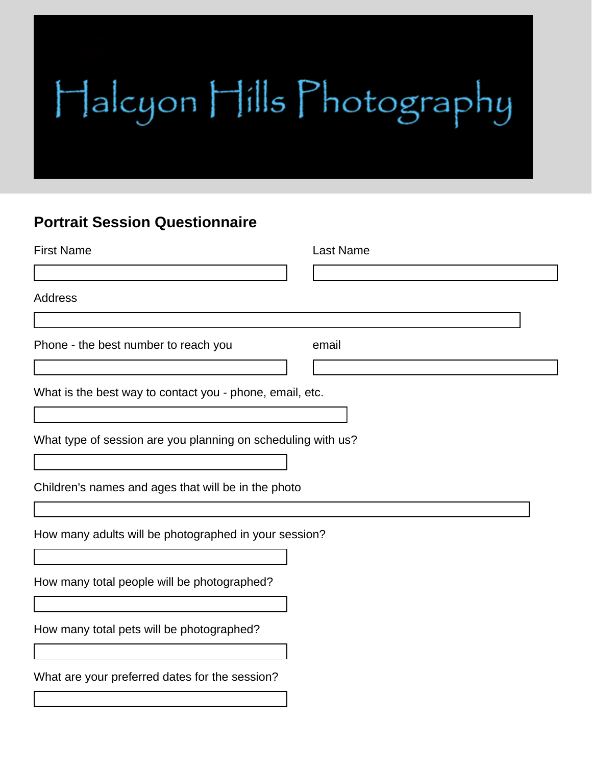## Halcyon Hills Photography

## **Portrait Session Questionnaire**

| <b>First Name</b>                                            | <b>Last Name</b> |
|--------------------------------------------------------------|------------------|
|                                                              |                  |
| <b>Address</b>                                               |                  |
| Phone - the best number to reach you                         | email            |
| What is the best way to contact you - phone, email, etc.     |                  |
| What type of session are you planning on scheduling with us? |                  |
| Children's names and ages that will be in the photo          |                  |
| How many adults will be photographed in your session?        |                  |
| How many total people will be photographed?                  |                  |
| How many total pets will be photographed?                    |                  |
| What are your preferred dates for the session?               |                  |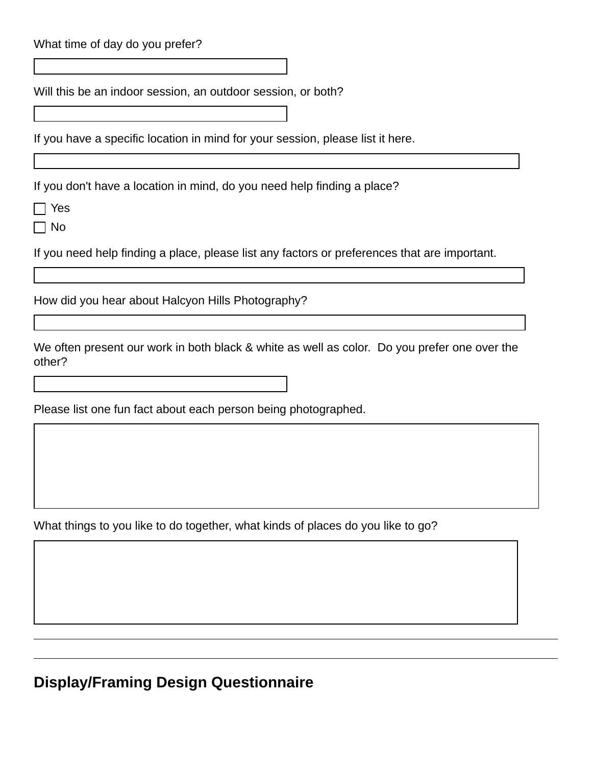| What time of day do you prefer?                                                                                                                                                                                                                                                                                                                                                                                                                                                                                          |
|--------------------------------------------------------------------------------------------------------------------------------------------------------------------------------------------------------------------------------------------------------------------------------------------------------------------------------------------------------------------------------------------------------------------------------------------------------------------------------------------------------------------------|
| $\left. \right.  \right.  \left. \right.  \left. \right.  \left. \right.  \left. \right.  \left. \left. \right.  \right.  \left. \left. \right.  \left. \right.  \left. \left. \right.  \right.  \left. \left. \right.  \left. \right.  \left. \left. \right.  \right.  \left. \left. \right.  \right.  \left. \left. \right.  \left. \right.  \left. \right.  \left. \left. \right.  \right.  \left. \left. \right.  \right.  \left. \left. \right.  \right.  \left. \left. \right.  \left. \left. \right.  \right.  \$ |
| Will this be an indoor session, an outdoor session, or both?                                                                                                                                                                                                                                                                                                                                                                                                                                                             |
|                                                                                                                                                                                                                                                                                                                                                                                                                                                                                                                          |
| If you have a specific location in mind for your session, please list it here.                                                                                                                                                                                                                                                                                                                                                                                                                                           |
| If you don't have a location in mind, do you need help finding a place?                                                                                                                                                                                                                                                                                                                                                                                                                                                  |
| Yes                                                                                                                                                                                                                                                                                                                                                                                                                                                                                                                      |
| No                                                                                                                                                                                                                                                                                                                                                                                                                                                                                                                       |
| If you need help finding a place, please list any factors or preferences that are important.                                                                                                                                                                                                                                                                                                                                                                                                                             |
|                                                                                                                                                                                                                                                                                                                                                                                                                                                                                                                          |
| How did you hear about Halcyon Hills Photography?                                                                                                                                                                                                                                                                                                                                                                                                                                                                        |
| We often present our work in both black & white as well as color. Do you prefer one over the<br>other?                                                                                                                                                                                                                                                                                                                                                                                                                   |
|                                                                                                                                                                                                                                                                                                                                                                                                                                                                                                                          |
| Please list one fun fact about each person being photographed.                                                                                                                                                                                                                                                                                                                                                                                                                                                           |
|                                                                                                                                                                                                                                                                                                                                                                                                                                                                                                                          |
|                                                                                                                                                                                                                                                                                                                                                                                                                                                                                                                          |
|                                                                                                                                                                                                                                                                                                                                                                                                                                                                                                                          |
|                                                                                                                                                                                                                                                                                                                                                                                                                                                                                                                          |
| What things to you like to do together, what kinds of places do you like to go?                                                                                                                                                                                                                                                                                                                                                                                                                                          |
|                                                                                                                                                                                                                                                                                                                                                                                                                                                                                                                          |

## **Display/Framing Design Questionnaire**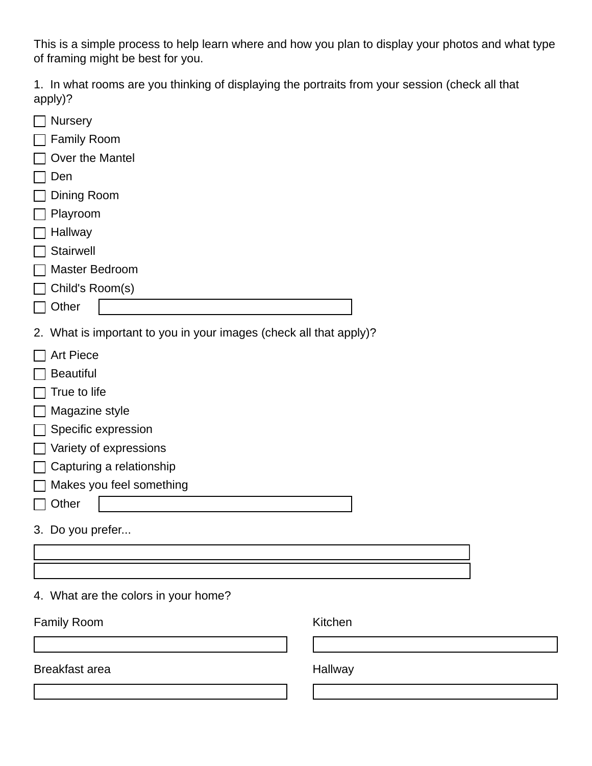This is a simple process to help learn where and how you plan to display your photos and what type of framing might be best for you.

1. In what rooms are you thinking of displaying the portraits from your session (check all that apply)?

| $\mathbf{u}$ $\mathbf{v}$ $\mathbf{v}$                             |         |
|--------------------------------------------------------------------|---------|
| $\Box$ Nursery                                                     |         |
| $\Box$ Family Room                                                 |         |
| Over the Mantel<br>$\Box$                                          |         |
| $\Box$<br>Den                                                      |         |
| Dining Room<br>$\Box$                                              |         |
| $\Box$<br>Playroom                                                 |         |
| Hallway                                                            |         |
| Stairwell<br>П                                                     |         |
| Master Bedroom<br>$\Box$                                           |         |
| $\Box$ Child's Room(s)                                             |         |
| $\Box$ Other                                                       |         |
| 2. What is important to you in your images (check all that apply)? |         |
| <b>Art Piece</b><br>$\Box$                                         |         |
| <b>Beautiful</b><br>$\Box$                                         |         |
| True to life<br>$\overline{\phantom{a}}$                           |         |
| $\Box$ Magazine style                                              |         |
| Specific expression<br>$\Box$                                      |         |
| $\Box$ Variety of expressions                                      |         |
| $\Box$ Capturing a relationship                                    |         |
| $\Box$ Makes you feel something                                    |         |
| Other<br>$\Box$                                                    |         |
|                                                                    |         |
| 3. Do you prefer                                                   |         |
|                                                                    |         |
|                                                                    |         |
| 4. What are the colors in your home?                               |         |
| <b>Family Room</b>                                                 | Kitchen |
|                                                                    |         |
| <b>Breakfast area</b>                                              | Hallway |
|                                                                    |         |
|                                                                    |         |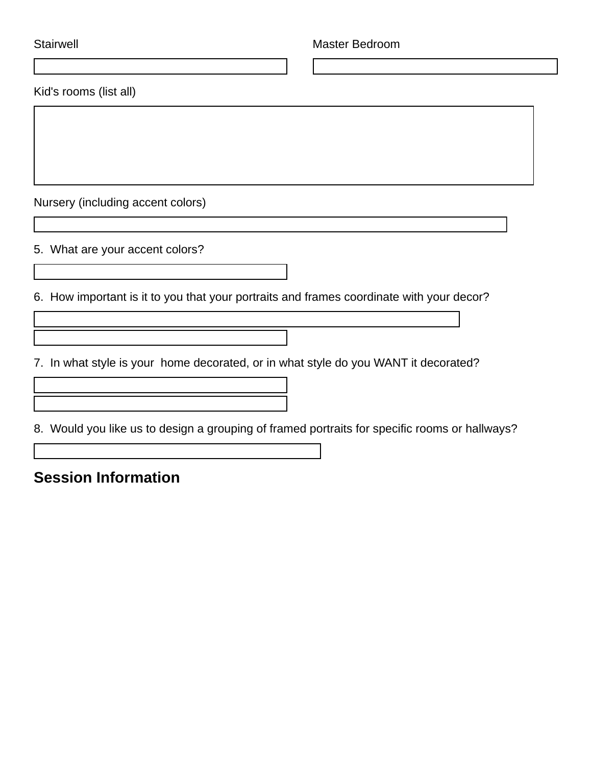| <b>Stairwell</b>                                                                              | <b>Master Bedroom</b> |
|-----------------------------------------------------------------------------------------------|-----------------------|
|                                                                                               |                       |
| Kid's rooms (list all)                                                                        |                       |
|                                                                                               |                       |
|                                                                                               |                       |
|                                                                                               |                       |
|                                                                                               |                       |
| Nursery (including accent colors)                                                             |                       |
|                                                                                               |                       |
| 5. What are your accent colors?                                                               |                       |
| $\vert \mathbf{v} \vert$                                                                      |                       |
| 6. How important is it to you that your portraits and frames coordinate with your decor?      |                       |
|                                                                                               |                       |
|                                                                                               |                       |
| 7. In what style is your home decorated, or in what style do you WANT it decorated?           |                       |
|                                                                                               |                       |
|                                                                                               |                       |
| 8. Would you like us to design a grouping of framed portraits for specific rooms or hallways? |                       |
|                                                                                               |                       |

**Session Information**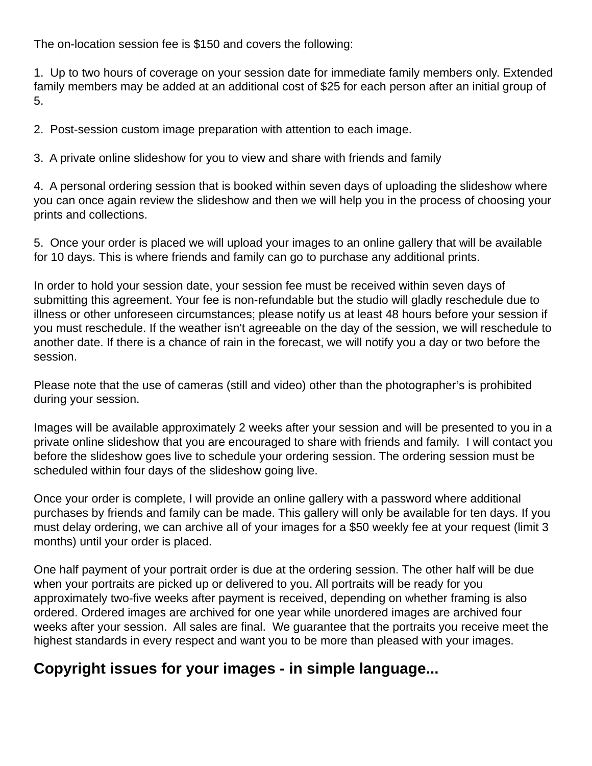The on-location session fee is \$150 and covers the following:

1. Up to two hours of coverage on your session date for immediate family members only. Extended family members may be added at an additional cost of \$25 for each person after an initial group of 5.

2. Post-session custom image preparation with attention to each image.

3. A private online slideshow for you to view and share with friends and family

4. A personal ordering session that is booked within seven days of uploading the slideshow where you can once again review the slideshow and then we will help you in the process of choosing your prints and collections.

5. Once your order is placed we will upload your images to an online gallery that will be available for 10 days. This is where friends and family can go to purchase any additional prints.

In order to hold your session date, your session fee must be received within seven days of submitting this agreement. Your fee is non-refundable but the studio will gladly reschedule due to illness or other unforeseen circumstances; please notify us at least 48 hours before your session if you must reschedule. If the weather isn't agreeable on the day of the session, we will reschedule to another date. If there is a chance of rain in the forecast, we will notify you a day or two before the session.

Please note that the use of cameras (still and video) other than the photographer's is prohibited during your session.

Images will be available approximately 2 weeks after your session and will be presented to you in a private online slideshow that you are encouraged to share with friends and family. I will contact you before the slideshow goes live to schedule your ordering session. The ordering session must be scheduled within four days of the slideshow going live.

Once your order is complete, I will provide an online gallery with a password where additional purchases by friends and family can be made. This gallery will only be available for ten days. If you must delay ordering, we can archive all of your images for a \$50 weekly fee at your request (limit 3 months) until your order is placed.

One half payment of your portrait order is due at the ordering session. The other half will be due when your portraits are picked up or delivered to you. All portraits will be ready for you approximately two-five weeks after payment is received, depending on whether framing is also ordered. Ordered images are archived for one year while unordered images are archived four weeks after your session. All sales are final. We guarantee that the portraits you receive meet the highest standards in every respect and want you to be more than pleased with your images.

## **Copyright issues for your images - in simple language...**